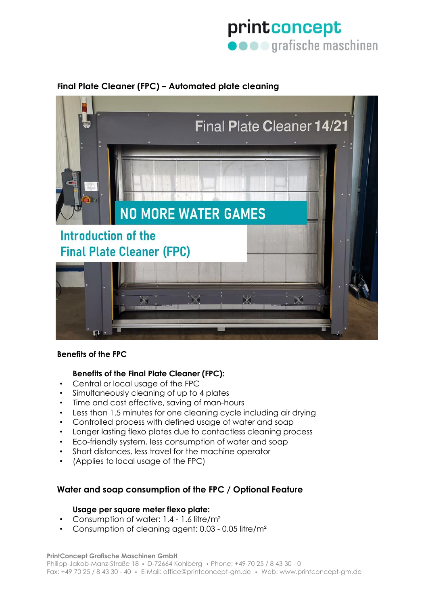# printconcept **O** O **grafische** maschinen

# **Final Plate Cleaner (FPC) – Automated plate cleaning**



### **Benefits of the FPC**

### **Benefits of the Final Plate Cleaner (FPC):**

- Central or local usage of the FPC
- Simultaneously cleaning of up to 4 plates
- Time and cost effective, saving of man-hours
- Less than 1.5 minutes for one cleaning cycle including air drying
- Controlled process with defined usage of water and soap
- Longer lasting flexo plates due to contactless cleaning process
- Eco-friendly system, less consumption of water and soap
- Short distances, less travel for the machine operator
- (Applies to local usage of the FPC)

## **Water and soap consumption of the FPC / Optional Feature**

#### **Usage per square meter flexo plate:**

- Consumption of water: 1.4 1.6 litre/m²
- Consumption of cleaning agent: 0.03 0.05 litre/m²